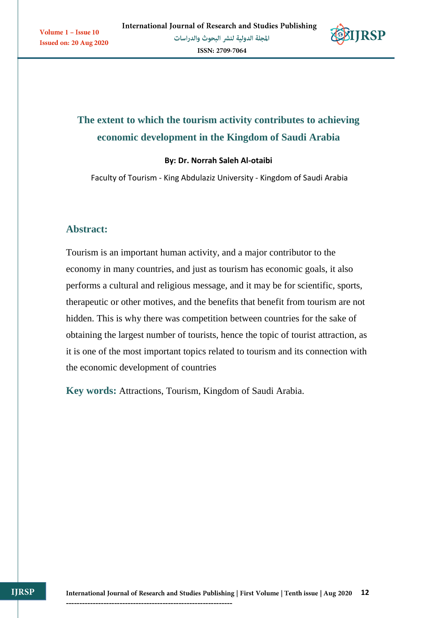

# **The extent to which the tourism activity contributes to achieving economic development in the Kingdom of Saudi Arabia**

# **By: Dr. Norrah Saleh Al-otaibi**

Faculty of Tourism - King Abdulaziz University - Kingdom of Saudi Arabia

# **Abstract:**

Tourism is an important human activity, and a major contributor to the economy in many countries, and just as tourism has economic goals, it also performs a cultural and religious message, and it may be for scientific, sports, therapeutic or other motives, and the benefits that benefit from tourism are not hidden. This is why there was competition between countries for the sake of obtaining the largest number of tourists, hence the topic of tourist attraction, as it is one of the most important topics related to tourism and its connection with the economic development of countries

**Key words:** Attractions, Tourism, Kingdom of Saudi Arabia.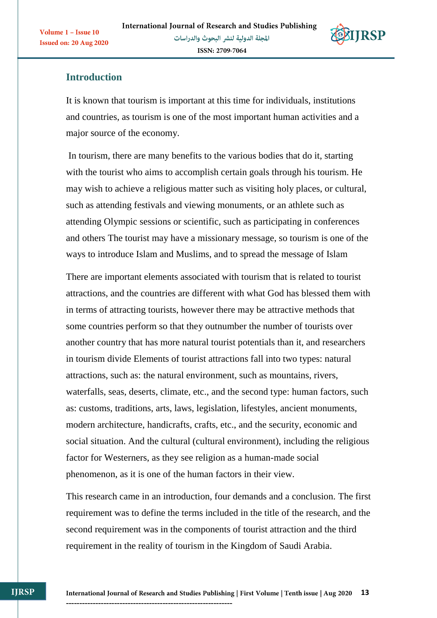

# **Introduction**

Volume 1 - Issue 10

Issued on: 20 Aug 2020

It is known that tourism is important at this time for individuals, institutions and countries, as tourism is one of the most important human activities and a major source of the economy.

In tourism, there are many benefits to the various bodies that do it, starting with the tourist who aims to accomplish certain goals through his tourism. He may wish to achieve a religious matter such as visiting holy places, or cultural, such as attending festivals and viewing monuments, or an athlete such as attending Olympic sessions or scientific, such as participating in conferences and others The tourist may have a missionary message, so tourism is one of the ways to introduce Islam and Muslims, and to spread the message of Islam

There are important elements associated with tourism that is related to tourist attractions, and the countries are different with what God has blessed them with in terms of attracting tourists, however there may be attractive methods that some countries perform so that they outnumber the number of tourists over another country that has more natural tourist potentials than it, and researchers in tourism divide Elements of tourist attractions fall into two types: natural attractions, such as: the natural environment, such as mountains, rivers, waterfalls, seas, deserts, climate, etc., and the second type: human factors, such as: customs, traditions, arts, laws, legislation, lifestyles, ancient monuments, modern architecture, handicrafts, crafts, etc., and the security, economic and social situation. And the cultural (cultural environment), including the religious factor for Westerners, as they see religion as a human-made social phenomenon, as it is one of the human factors in their view.

This research came in an introduction, four demands and a conclusion. The first requirement was to define the terms included in the title of the research, and the second requirement was in the components of tourist attraction and the third requirement in the reality of tourism in the Kingdom of Saudi Arabia.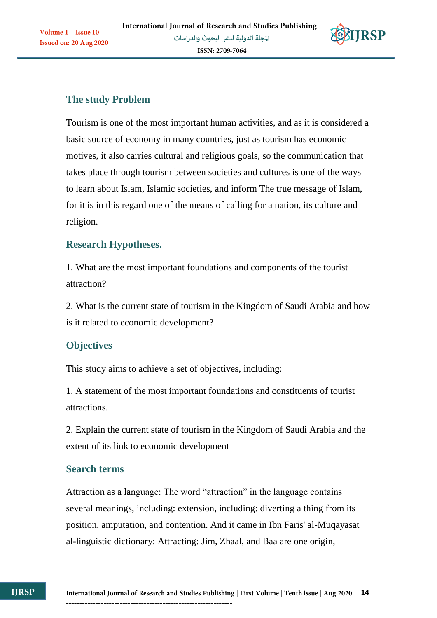

# **The study Problem**

Tourism is one of the most important human activities, and as it is considered a basic source of economy in many countries, just as tourism has economic motives, it also carries cultural and religious goals, so the communication that takes place through tourism between societies and cultures is one of the ways to learn about Islam, Islamic societies, and inform The true message of Islam, for it is in this regard one of the means of calling for a nation, its culture and religion.

# **Research Hypotheses.**

1. What are the most important foundations and components of the tourist attraction?

2. What is the current state of tourism in the Kingdom of Saudi Arabia and how is it related to economic development?

# **Objectives**

This study aims to achieve a set of objectives, including:

1. A statement of the most important foundations and constituents of tourist attractions.

2. Explain the current state of tourism in the Kingdom of Saudi Arabia and the extent of its link to economic development

# **Search terms**

Attraction as a language: The word "attraction" in the language contains several meanings, including: extension, including: diverting a thing from its position, amputation, and contention. And it came in Ibn Faris' al-Muqayasat al-linguistic dictionary: Attracting: Jim, Zhaal, and Baa are one origin,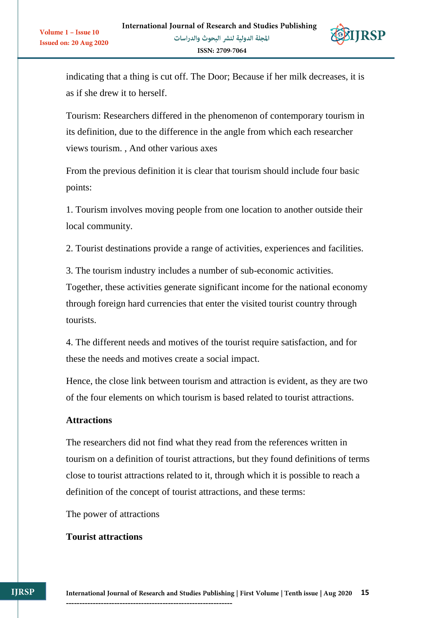

indicating that a thing is cut off. The Door; Because if her milk decreases, it is as if she drew it to herself.

Tourism: Researchers differed in the phenomenon of contemporary tourism in its definition, due to the difference in the angle from which each researcher views tourism. , And other various axes

From the previous definition it is clear that tourism should include four basic points:

1. Tourism involves moving people from one location to another outside their local community.

2. Tourist destinations provide a range of activities, experiences and facilities.

3. The tourism industry includes a number of sub-economic activities. Together, these activities generate significant income for the national economy through foreign hard currencies that enter the visited tourist country through tourists.

4. The different needs and motives of the tourist require satisfaction, and for these the needs and motives create a social impact.

Hence, the close link between tourism and attraction is evident, as they are two of the four elements on which tourism is based related to tourist attractions.

#### **Attractions**

Volume 1 - Issue 10

Issued on: 20 Aug 2020

The researchers did not find what they read from the references written in tourism on a definition of tourist attractions, but they found definitions of terms close to tourist attractions related to it, through which it is possible to reach a definition of the concept of tourist attractions, and these terms:

The power of attractions

#### **Tourist attractions**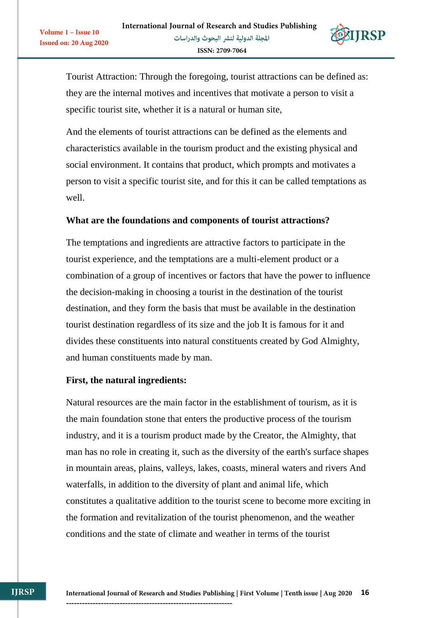

Tourist Attraction: Through the foregoing, tourist attractions can be defined as: they are the internal motives and incentives that motivate a person to visit a specific tourist site, whether it is a natural or human site,

And the elements of tourist attractions can be defined as the elements and characteristics available in the tourism product and the existing physical and social environment. It contains that product, which prompts and motivates a person to visit a specific tourist site, and for this it can be called temptations as well.

# **What are the foundations and components of tourist attractions?**

The temptations and ingredients are attractive factors to participate in the tourist experience, and the temptations are a multi-element product or a combination of a group of incentives or factors that have the power to influence the decision-making in choosing a tourist in the destination of the tourist destination, and they form the basis that must be available in the destination tourist destination regardless of its size and the job It is famous for it and divides these constituents into natural constituents created by God Almighty, and human constituents made by man.

#### **First, the natural ingredients:**

Volume 1 - Issue 10

Issued on: 20 Aug 2020

Natural resources are the main factor in the establishment of tourism, as it is the main foundation stone that enters the productive process of the tourism industry, and it is a tourism product made by the Creator, the Almighty, that man has no role in creating it, such as the diversity of the earth's surface shapes in mountain areas, plains, valleys, lakes, coasts, mineral waters and rivers And waterfalls, in addition to the diversity of plant and animal life, which constitutes a qualitative addition to the tourist scene to become more exciting in the formation and revitalization of the tourist phenomenon, and the weather conditions and the state of climate and weather in terms of the tourist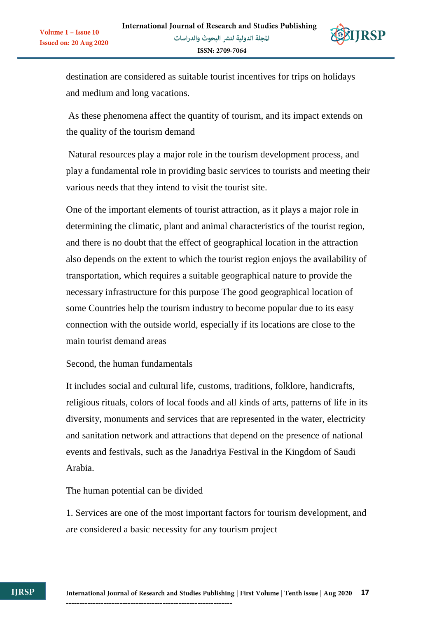

destination are considered as suitable tourist incentives for trips on holidays and medium and long vacations.

As these phenomena affect the quantity of tourism, and its impact extends on the quality of the tourism demand

Natural resources play a major role in the tourism development process, and play a fundamental role in providing basic services to tourists and meeting their various needs that they intend to visit the tourist site.

One of the important elements of tourist attraction, as it plays a major role in determining the climatic, plant and animal characteristics of the tourist region, and there is no doubt that the effect of geographical location in the attraction also depends on the extent to which the tourist region enjoys the availability of transportation, which requires a suitable geographical nature to provide the necessary infrastructure for this purpose The good geographical location of some Countries help the tourism industry to become popular due to its easy connection with the outside world, especially if its locations are close to the main tourist demand areas

# Second, the human fundamentals

Volume 1 - Issue 10

**Issued on: 20 Aug 2020** 

It includes social and cultural life, customs, traditions, folklore, handicrafts, religious rituals, colors of local foods and all kinds of arts, patterns of life in its diversity, monuments and services that are represented in the water, electricity and sanitation network and attractions that depend on the presence of national events and festivals, such as the Janadriya Festival in the Kingdom of Saudi Arabia.

# The human potential can be divided

1. Services are one of the most important factors for tourism development, and are considered a basic necessity for any tourism project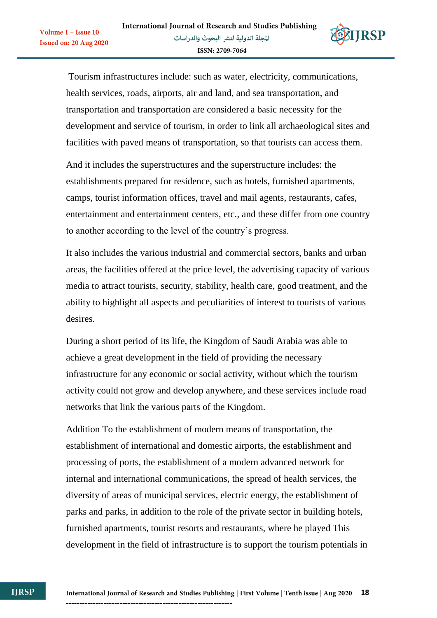**Issued on: 20 Aug 2020** 



Tourism infrastructures include: such as water, electricity, communications, health services, roads, airports, air and land, and sea transportation, and transportation and transportation are considered a basic necessity for the development and service of tourism, in order to link all archaeological sites and facilities with paved means of transportation, so that tourists can access them.

And it includes the superstructures and the superstructure includes: the establishments prepared for residence, such as hotels, furnished apartments, camps, tourist information offices, travel and mail agents, restaurants, cafes, entertainment and entertainment centers, etc., and these differ from one country to another according to the level of the country's progress.

It also includes the various industrial and commercial sectors, banks and urban areas, the facilities offered at the price level, the advertising capacity of various media to attract tourists, security, stability, health care, good treatment, and the ability to highlight all aspects and peculiarities of interest to tourists of various desires.

During a short period of its life, the Kingdom of Saudi Arabia was able to achieve a great development in the field of providing the necessary infrastructure for any economic or social activity, without which the tourism activity could not grow and develop anywhere, and these services include road networks that link the various parts of the Kingdom.

Addition To the establishment of modern means of transportation, the establishment of international and domestic airports, the establishment and processing of ports, the establishment of a modern advanced network for internal and international communications, the spread of health services, the diversity of areas of municipal services, electric energy, the establishment of parks and parks, in addition to the role of the private sector in building hotels, furnished apartments, tourist resorts and restaurants, where he played This development in the field of infrastructure is to support the tourism potentials in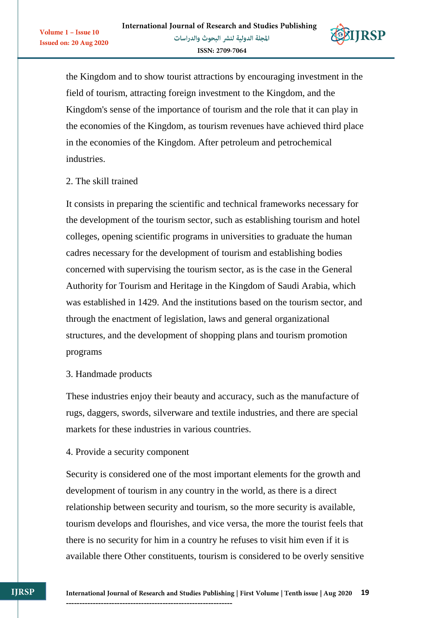

the Kingdom and to show tourist attractions by encouraging investment in the field of tourism, attracting foreign investment to the Kingdom, and the Kingdom's sense of the importance of tourism and the role that it can play in the economies of the Kingdom, as tourism revenues have achieved third place in the economies of the Kingdom. After petroleum and petrochemical industries.

2. The skill trained

Volume 1 - Issue 10

Issued on: 20 Aug 2020

It consists in preparing the scientific and technical frameworks necessary for the development of the tourism sector, such as establishing tourism and hotel colleges, opening scientific programs in universities to graduate the human cadres necessary for the development of tourism and establishing bodies concerned with supervising the tourism sector, as is the case in the General Authority for Tourism and Heritage in the Kingdom of Saudi Arabia, which was established in 1429. And the institutions based on the tourism sector, and through the enactment of legislation, laws and general organizational structures, and the development of shopping plans and tourism promotion programs

3. Handmade products

These industries enjoy their beauty and accuracy, such as the manufacture of rugs, daggers, swords, silverware and textile industries, and there are special markets for these industries in various countries.

4. Provide a security component

Security is considered one of the most important elements for the growth and development of tourism in any country in the world, as there is a direct relationship between security and tourism, so the more security is available, tourism develops and flourishes, and vice versa, the more the tourist feels that there is no security for him in a country he refuses to visit him even if it is available there Other constituents, tourism is considered to be overly sensitive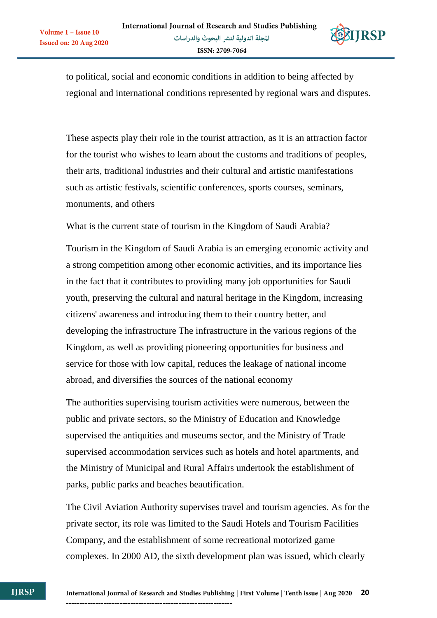Issued on: 20 Aug 2020



to political, social and economic conditions in addition to being affected by regional and international conditions represented by regional wars and disputes.

These aspects play their role in the tourist attraction, as it is an attraction factor for the tourist who wishes to learn about the customs and traditions of peoples, their arts, traditional industries and their cultural and artistic manifestations such as artistic festivals, scientific conferences, sports courses, seminars, monuments, and others

What is the current state of tourism in the Kingdom of Saudi Arabia?

Tourism in the Kingdom of Saudi Arabia is an emerging economic activity and a strong competition among other economic activities, and its importance lies in the fact that it contributes to providing many job opportunities for Saudi youth, preserving the cultural and natural heritage in the Kingdom, increasing citizens' awareness and introducing them to their country better, and developing the infrastructure The infrastructure in the various regions of the Kingdom, as well as providing pioneering opportunities for business and service for those with low capital, reduces the leakage of national income abroad, and diversifies the sources of the national economy

The authorities supervising tourism activities were numerous, between the public and private sectors, so the Ministry of Education and Knowledge supervised the antiquities and museums sector, and the Ministry of Trade supervised accommodation services such as hotels and hotel apartments, and the Ministry of Municipal and Rural Affairs undertook the establishment of parks, public parks and beaches beautification.

The Civil Aviation Authority supervises travel and tourism agencies. As for the private sector, its role was limited to the Saudi Hotels and Tourism Facilities Company, and the establishment of some recreational motorized game complexes. In 2000 AD, the sixth development plan was issued, which clearly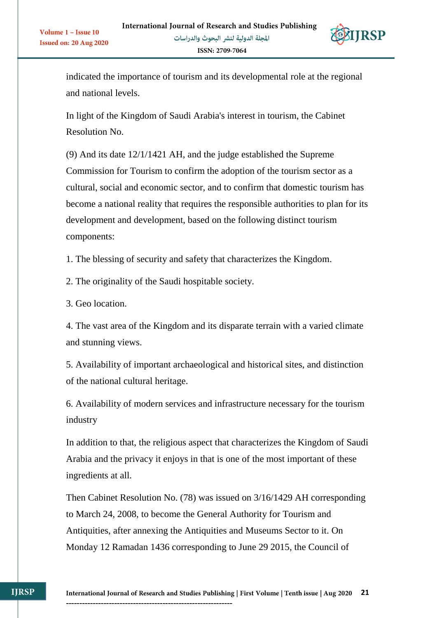

indicated the importance of tourism and its developmental role at the regional and national levels.

In light of the Kingdom of Saudi Arabia's interest in tourism, the Cabinet Resolution No.

(9) And its date 12/1/1421 AH, and the judge established the Supreme Commission for Tourism to confirm the adoption of the tourism sector as a cultural, social and economic sector, and to confirm that domestic tourism has become a national reality that requires the responsible authorities to plan for its development and development, based on the following distinct tourism components:

1. The blessing of security and safety that characterizes the Kingdom.

2. The originality of the Saudi hospitable society.

3. Geo location.

Volume 1 - Issue 10

**Issued on: 20 Aug 2020** 

4. The vast area of the Kingdom and its disparate terrain with a varied climate and stunning views.

5. Availability of important archaeological and historical sites, and distinction of the national cultural heritage.

6. Availability of modern services and infrastructure necessary for the tourism industry

In addition to that, the religious aspect that characterizes the Kingdom of Saudi Arabia and the privacy it enjoys in that is one of the most important of these ingredients at all.

Then Cabinet Resolution No. (78) was issued on 3/16/1429 AH corresponding to March 24, 2008, to become the General Authority for Tourism and Antiquities, after annexing the Antiquities and Museums Sector to it. On Monday 12 Ramadan 1436 corresponding to June 29 2015, the Council of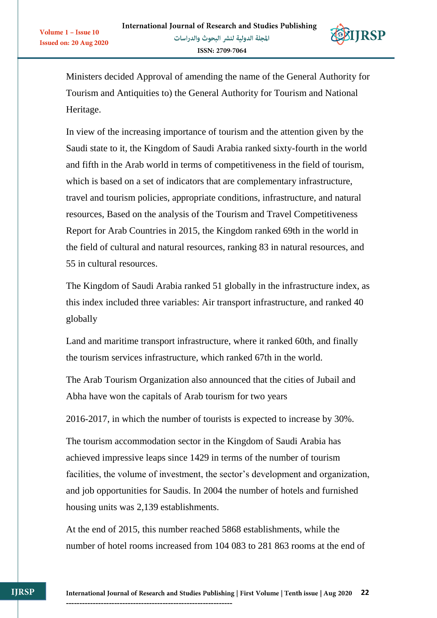**Issued on: 20 Aug 2020** 



Ministers decided Approval of amending the name of the General Authority for Tourism and Antiquities to) the General Authority for Tourism and National Heritage.

In view of the increasing importance of tourism and the attention given by the Saudi state to it, the Kingdom of Saudi Arabia ranked sixty-fourth in the world and fifth in the Arab world in terms of competitiveness in the field of tourism, which is based on a set of indicators that are complementary infrastructure, travel and tourism policies, appropriate conditions, infrastructure, and natural resources, Based on the analysis of the Tourism and Travel Competitiveness Report for Arab Countries in 2015, the Kingdom ranked 69th in the world in the field of cultural and natural resources, ranking 83 in natural resources, and 55 in cultural resources.

The Kingdom of Saudi Arabia ranked 51 globally in the infrastructure index, as this index included three variables: Air transport infrastructure, and ranked 40 globally

Land and maritime transport infrastructure, where it ranked 60th, and finally the tourism services infrastructure, which ranked 67th in the world.

The Arab Tourism Organization also announced that the cities of Jubail and Abha have won the capitals of Arab tourism for two years

2016-2017, in which the number of tourists is expected to increase by 30%.

The tourism accommodation sector in the Kingdom of Saudi Arabia has achieved impressive leaps since 1429 in terms of the number of tourism facilities, the volume of investment, the sector's development and organization, and job opportunities for Saudis. In 2004 the number of hotels and furnished housing units was 2,139 establishments.

At the end of 2015, this number reached 5868 establishments, while the number of hotel rooms increased from 104 083 to 281 863 rooms at the end of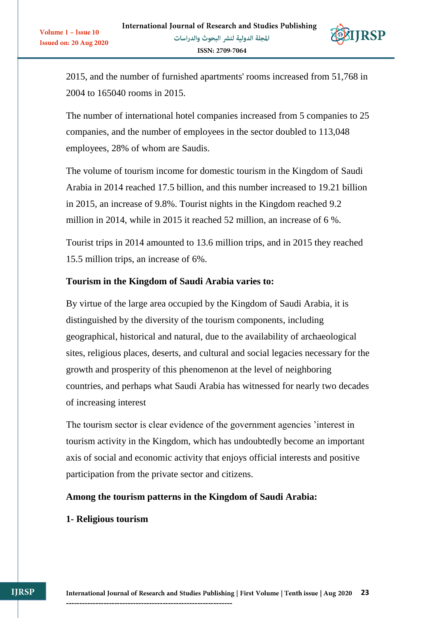

2015, and the number of furnished apartments' rooms increased from 51,768 in 2004 to 165040 rooms in 2015.

The number of international hotel companies increased from 5 companies to 25 companies, and the number of employees in the sector doubled to 113,048 employees, 28% of whom are Saudis.

The volume of tourism income for domestic tourism in the Kingdom of Saudi Arabia in 2014 reached 17.5 billion, and this number increased to 19.21 billion in 2015, an increase of 9.8%. Tourist nights in the Kingdom reached 9.2 million in 2014, while in 2015 it reached 52 million, an increase of 6 %.

Tourist trips in 2014 amounted to 13.6 million trips, and in 2015 they reached 15.5 million trips, an increase of 6%.

# **Tourism in the Kingdom of Saudi Arabia varies to:**

By virtue of the large area occupied by the Kingdom of Saudi Arabia, it is distinguished by the diversity of the tourism components, including geographical, historical and natural, due to the availability of archaeological sites, religious places, deserts, and cultural and social legacies necessary for the growth and prosperity of this phenomenon at the level of neighboring countries, and perhaps what Saudi Arabia has witnessed for nearly two decades of increasing interest

The tourism sector is clear evidence of the government agencies 'interest in tourism activity in the Kingdom, which has undoubtedly become an important axis of social and economic activity that enjoys official interests and positive participation from the private sector and citizens.

# **Among the tourism patterns in the Kingdom of Saudi Arabia:**

#### **1- Religious tourism**

Volume 1 - Issue 10

Issued on: 20 Aug 2020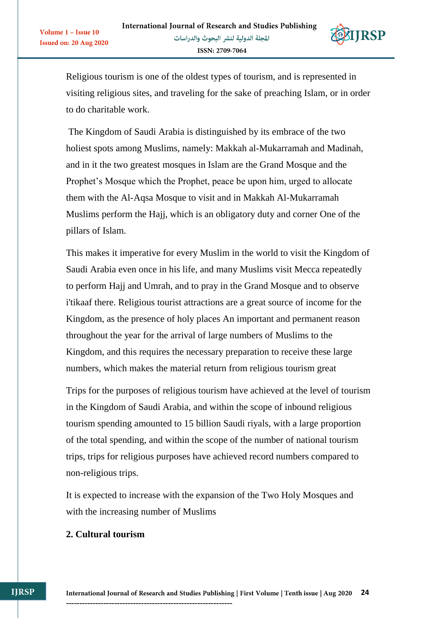

Religious tourism is one of the oldest types of tourism, and is represented in visiting religious sites, and traveling for the sake of preaching Islam, or in order to do charitable work.

The Kingdom of Saudi Arabia is distinguished by its embrace of the two holiest spots among Muslims, namely: Makkah al-Mukarramah and Madinah, and in it the two greatest mosques in Islam are the Grand Mosque and the Prophet's Mosque which the Prophet, peace be upon him, urged to allocate them with the Al-Aqsa Mosque to visit and in Makkah Al-Mukarramah Muslims perform the Hajj, which is an obligatory duty and corner One of the pillars of Islam.

This makes it imperative for every Muslim in the world to visit the Kingdom of Saudi Arabia even once in his life, and many Muslims visit Mecca repeatedly to perform Hajj and Umrah, and to pray in the Grand Mosque and to observe i'tikaaf there. Religious tourist attractions are a great source of income for the Kingdom, as the presence of holy places An important and permanent reason throughout the year for the arrival of large numbers of Muslims to the Kingdom, and this requires the necessary preparation to receive these large numbers, which makes the material return from religious tourism great

Trips for the purposes of religious tourism have achieved at the level of tourism in the Kingdom of Saudi Arabia, and within the scope of inbound religious tourism spending amounted to 15 billion Saudi riyals, with a large proportion of the total spending, and within the scope of the number of national tourism trips, trips for religious purposes have achieved record numbers compared to non-religious trips.

It is expected to increase with the expansion of the Two Holy Mosques and with the increasing number of Muslims

# **2. Cultural tourism**

Volume 1 - Issue 10

**Issued on: 20 Aug 2020**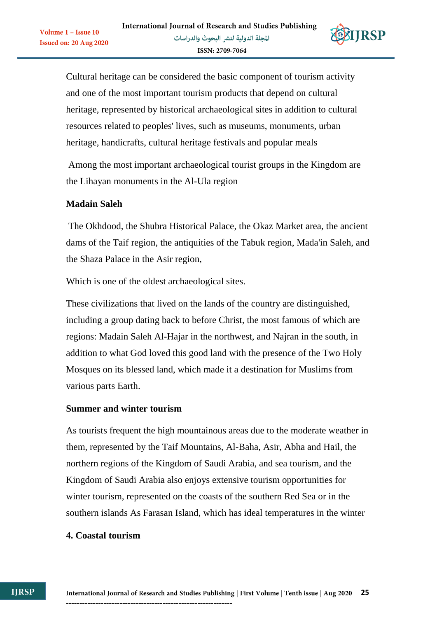

Cultural heritage can be considered the basic component of tourism activity and one of the most important tourism products that depend on cultural heritage, represented by historical archaeological sites in addition to cultural resources related to peoples' lives, such as museums, monuments, urban heritage, handicrafts, cultural heritage festivals and popular meals

Among the most important archaeological tourist groups in the Kingdom are the Lihayan monuments in the Al-Ula region

# **Madain Saleh**

Volume 1 - Issue 10

**Issued on: 20 Aug 2020** 

The Okhdood, the Shubra Historical Palace, the Okaz Market area, the ancient dams of the Taif region, the antiquities of the Tabuk region, Mada'in Saleh, and the Shaza Palace in the Asir region,

Which is one of the oldest archaeological sites.

These civilizations that lived on the lands of the country are distinguished, including a group dating back to before Christ, the most famous of which are regions: Madain Saleh Al-Hajar in the northwest, and Najran in the south, in addition to what God loved this good land with the presence of the Two Holy Mosques on its blessed land, which made it a destination for Muslims from various parts Earth.

#### **Summer and winter tourism**

As tourists frequent the high mountainous areas due to the moderate weather in them, represented by the Taif Mountains, Al-Baha, Asir, Abha and Hail, the northern regions of the Kingdom of Saudi Arabia, and sea tourism, and the Kingdom of Saudi Arabia also enjoys extensive tourism opportunities for winter tourism, represented on the coasts of the southern Red Sea or in the southern islands As Farasan Island, which has ideal temperatures in the winter

#### **4. Coastal tourism**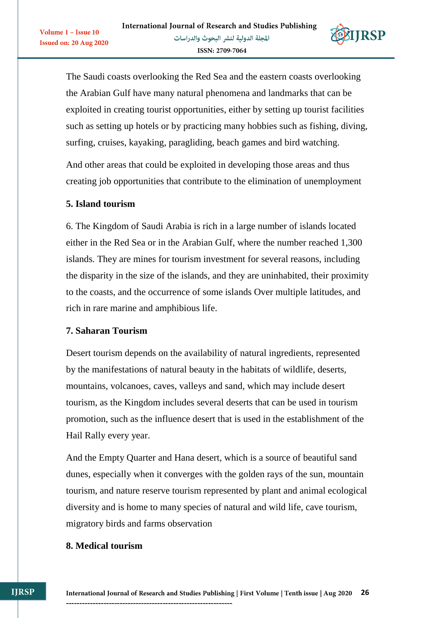

The Saudi coasts overlooking the Red Sea and the eastern coasts overlooking the Arabian Gulf have many natural phenomena and landmarks that can be exploited in creating tourist opportunities, either by setting up tourist facilities such as setting up hotels or by practicing many hobbies such as fishing, diving, surfing, cruises, kayaking, paragliding, beach games and bird watching.

And other areas that could be exploited in developing those areas and thus creating job opportunities that contribute to the elimination of unemployment

#### **5. Island tourism**

Volume 1 - Issue 10

Issued on: 20 Aug 2020

6. The Kingdom of Saudi Arabia is rich in a large number of islands located either in the Red Sea or in the Arabian Gulf, where the number reached 1,300 islands. They are mines for tourism investment for several reasons, including the disparity in the size of the islands, and they are uninhabited, their proximity to the coasts, and the occurrence of some islands Over multiple latitudes, and rich in rare marine and amphibious life.

#### **7. Saharan Tourism**

Desert tourism depends on the availability of natural ingredients, represented by the manifestations of natural beauty in the habitats of wildlife, deserts, mountains, volcanoes, caves, valleys and sand, which may include desert tourism, as the Kingdom includes several deserts that can be used in tourism promotion, such as the influence desert that is used in the establishment of the Hail Rally every year.

And the Empty Quarter and Hana desert, which is a source of beautiful sand dunes, especially when it converges with the golden rays of the sun, mountain tourism, and nature reserve tourism represented by plant and animal ecological diversity and is home to many species of natural and wild life, cave tourism, migratory birds and farms observation

#### **8. Medical tourism**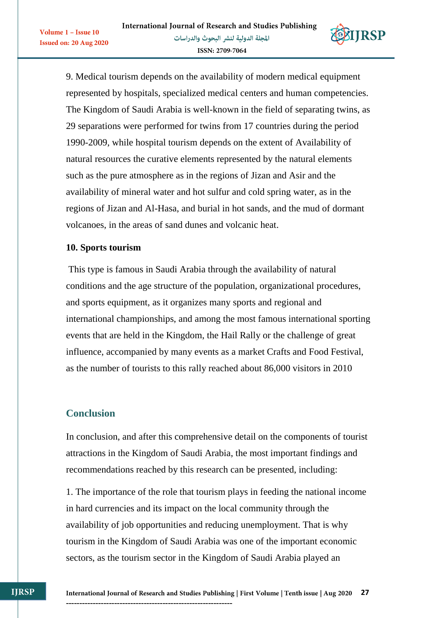

9. Medical tourism depends on the availability of modern medical equipment represented by hospitals, specialized medical centers and human competencies. The Kingdom of Saudi Arabia is well-known in the field of separating twins, as 29 separations were performed for twins from 17 countries during the period 1990-2009, while hospital tourism depends on the extent of Availability of natural resources the curative elements represented by the natural elements such as the pure atmosphere as in the regions of Jizan and Asir and the availability of mineral water and hot sulfur and cold spring water, as in the regions of Jizan and Al-Hasa, and burial in hot sands, and the mud of dormant volcanoes, in the areas of sand dunes and volcanic heat.

# **10. Sports tourism**

Volume 1 - Issue 10

**Issued on: 20 Aug 2020** 

This type is famous in Saudi Arabia through the availability of natural conditions and the age structure of the population, organizational procedures, and sports equipment, as it organizes many sports and regional and international championships, and among the most famous international sporting events that are held in the Kingdom, the Hail Rally or the challenge of great influence, accompanied by many events as a market Crafts and Food Festival, as the number of tourists to this rally reached about 86,000 visitors in 2010

# **Conclusion**

In conclusion, and after this comprehensive detail on the components of tourist attractions in the Kingdom of Saudi Arabia, the most important findings and recommendations reached by this research can be presented, including:

1. The importance of the role that tourism plays in feeding the national income in hard currencies and its impact on the local community through the availability of job opportunities and reducing unemployment. That is why tourism in the Kingdom of Saudi Arabia was one of the important economic sectors, as the tourism sector in the Kingdom of Saudi Arabia played an

--------------------------------------------------------------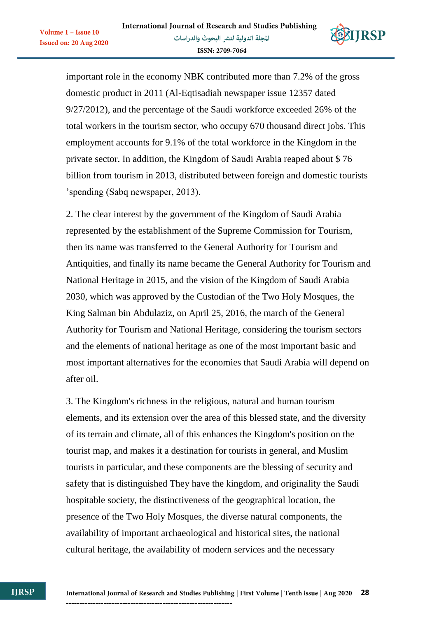**Issued on: 20 Aug 2020** 



important role in the economy NBK contributed more than 7.2% of the gross domestic product in 2011 (Al-Eqtisadiah newspaper issue 12357 dated 9/27/2012), and the percentage of the Saudi workforce exceeded 26% of the total workers in the tourism sector, who occupy 670 thousand direct jobs. This employment accounts for 9.1% of the total workforce in the Kingdom in the private sector. In addition, the Kingdom of Saudi Arabia reaped about \$ 76 billion from tourism in 2013, distributed between foreign and domestic tourists 'spending (Sabq newspaper, 2013).

2. The clear interest by the government of the Kingdom of Saudi Arabia represented by the establishment of the Supreme Commission for Tourism, then its name was transferred to the General Authority for Tourism and Antiquities, and finally its name became the General Authority for Tourism and National Heritage in 2015, and the vision of the Kingdom of Saudi Arabia 2030, which was approved by the Custodian of the Two Holy Mosques, the King Salman bin Abdulaziz, on April 25, 2016, the march of the General Authority for Tourism and National Heritage, considering the tourism sectors and the elements of national heritage as one of the most important basic and most important alternatives for the economies that Saudi Arabia will depend on after oil.

3. The Kingdom's richness in the religious, natural and human tourism elements, and its extension over the area of this blessed state, and the diversity of its terrain and climate, all of this enhances the Kingdom's position on the tourist map, and makes it a destination for tourists in general, and Muslim tourists in particular, and these components are the blessing of security and safety that is distinguished They have the kingdom, and originality the Saudi hospitable society, the distinctiveness of the geographical location, the presence of the Two Holy Mosques, the diverse natural components, the availability of important archaeological and historical sites, the national cultural heritage, the availability of modern services and the necessary

--------------------------------------------------------------

**IJRSP**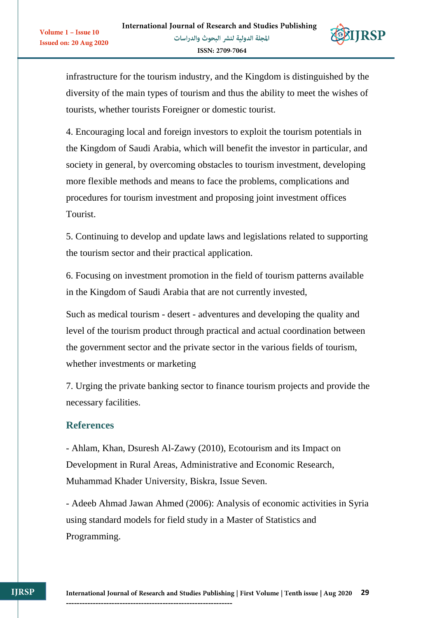

infrastructure for the tourism industry, and the Kingdom is distinguished by the diversity of the main types of tourism and thus the ability to meet the wishes of tourists, whether tourists Foreigner or domestic tourist.

4. Encouraging local and foreign investors to exploit the tourism potentials in the Kingdom of Saudi Arabia, which will benefit the investor in particular, and society in general, by overcoming obstacles to tourism investment, developing more flexible methods and means to face the problems, complications and procedures for tourism investment and proposing joint investment offices Tourist.

5. Continuing to develop and update laws and legislations related to supporting the tourism sector and their practical application.

6. Focusing on investment promotion in the field of tourism patterns available in the Kingdom of Saudi Arabia that are not currently invested,

Such as medical tourism - desert - adventures and developing the quality and level of the tourism product through practical and actual coordination between the government sector and the private sector in the various fields of tourism, whether investments or marketing

7. Urging the private banking sector to finance tourism projects and provide the necessary facilities.

# **References**

Volume 1 - Issue 10

**Issued on: 20 Aug 2020** 

- Ahlam, Khan, Dsuresh Al-Zawy (2010), Ecotourism and its Impact on Development in Rural Areas, Administrative and Economic Research, Muhammad Khader University, Biskra, Issue Seven.

- Adeeb Ahmad Jawan Ahmed (2006): Analysis of economic activities in Syria using standard models for field study in a Master of Statistics and Programming.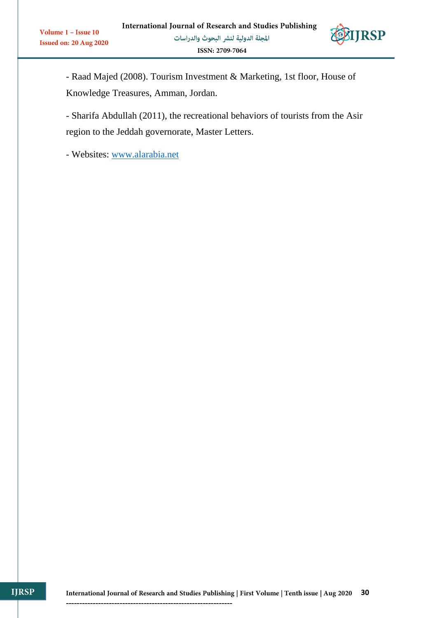

- Raad Majed (2008). Tourism Investment & Marketing, 1st floor, House of Knowledge Treasures, Amman, Jordan.

- Sharifa Abdullah (2011), the recreational behaviors of tourists from the Asir region to the Jeddah governorate, Master Letters.

- Websites: [www.alarabia.net](http://www.alarabia.net/)

Volume 1 - Issue 10

**Issued on: 20 Aug 2020**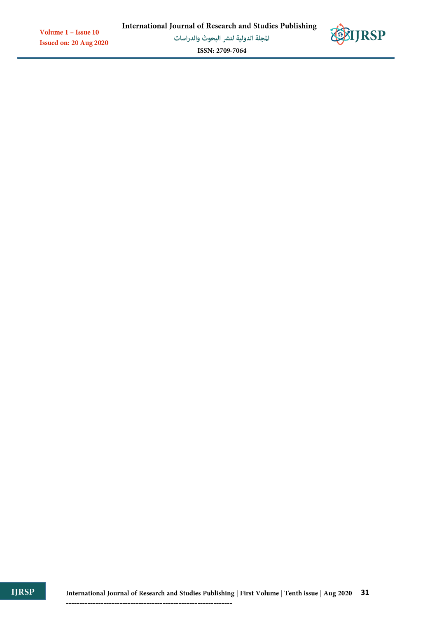